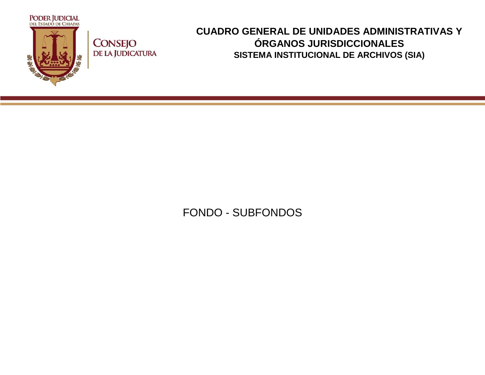

**CONSEJO** DE LA JUDICATURA

## **CUADRO GENERAL DE UNIDADES ADMINISTRATIVAS Y ÓRGANOS JURISDICCIONALES SISTEMA INSTITUCIONAL DE ARCHIVOS (SIA)**

FONDO - SUBFONDOS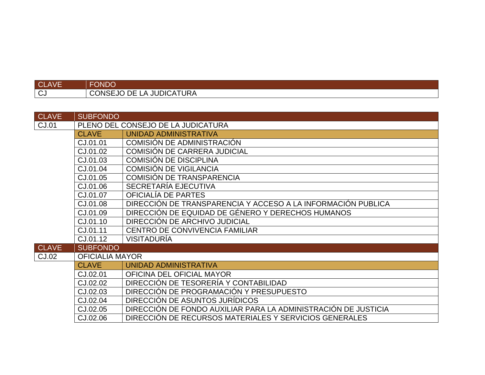| <b>CLAVE</b> | <b>FONDO</b>             |
|--------------|--------------------------|
| l CJ         | CONSEJO DE LA JUDICATURA |

| <b>CLAVE</b> | <b>SUBFONDO</b>                    |                                                                |
|--------------|------------------------------------|----------------------------------------------------------------|
| CJ.01        | PLENO DEL CONSEJO DE LA JUDICATURA |                                                                |
|              | <b>CLAVE</b>                       | <b>UNIDAD ADMINISTRATIVA</b>                                   |
|              | CJ.01.01                           | COMISIÓN DE ADMINISTRACION                                     |
|              | CJ.01.02                           | <b>COMISIÓN DE CARRERA JUDICIAL</b>                            |
|              | CJ.01.03                           | <b>COMISIÓN DE DISCIPLINA</b>                                  |
|              | CJ.01.04                           | <b>COMISIÓN DE VIGILANCIA</b>                                  |
|              | CJ.01.05                           | <b>COMISIÓN DE TRANSPARENCIA</b>                               |
|              | CJ.01.06                           | SECRETARÍA EJECUTIVA                                           |
|              | CJ.01.07                           | OFICIALÍA DE PARTES                                            |
|              | CJ.01.08                           | DIRECCIÓN DE TRANSPARENCIA Y ACCESO A LA INFORMACIÓN PUBLICA   |
|              | CJ.01.09                           | DIRECCIÓN DE EQUIDAD DE GÉNERO Y DERECHOS HUMANOS              |
|              | CJ.01.10                           | DIRECCIÓN DE ARCHIVO JUDICIAL                                  |
|              | CJ.01.11                           | CENTRO DE CONVIVENCIA FAMILIAR                                 |
|              | CJ.01.12                           | <b>VISITADURÍA</b>                                             |
| <b>CLAVE</b> | <b>SUBFONDO</b>                    |                                                                |
| CJ.02        | <b>OFICIALIA MAYOR</b>             |                                                                |
|              | <b>CLAVE</b>                       | UNIDAD ADMINISTRATIVA                                          |
|              | CJ.02.01                           | OFICINA DEL OFICIAL MAYOR                                      |
|              | CJ.02.02                           | DIRECCIÓN DE TESORERÍA Y CONTABILIDAD                          |
|              | CJ.02.03                           | DIRECCIÓN DE PROGRAMACIÓN Y PRESUPUESTO                        |
|              | CJ.02.04                           | DIRECCIÓN DE ASUNTOS JURÍDICOS                                 |
|              | CJ.02.05                           | DIRECCIÓN DE FONDO AUXILIAR PARA LA ADMINISTRACIÓN DE JUSTICIA |
|              | CJ.02.06                           | DIRECCIÓN DE RECURSOS MATERIALES Y SERVICIOS GENERALES         |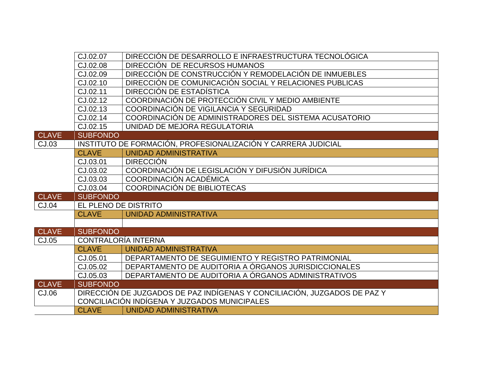|              | CJ.02.07                   | DIRECCIÓN DE DESARROLLO E INFRAESTRUCTURA TECNOLÓGICA                    |
|--------------|----------------------------|--------------------------------------------------------------------------|
|              | CJ.02.08                   | DIRECCIÓN DE RECURSOS HUMANOS                                            |
|              | CJ.02.09                   | DIRECCIÓN DE CONSTRUCCIÓN Y REMODELACIÓN DE INMUEBLES                    |
|              | CJ.02.10                   | DIRECCIÓN DE COMUNICACIÓN SOCIAL Y RELACIONES PUBLICAS                   |
|              | CJ.02.11                   | DIRECCIÓN DE ESTADÍSTICA                                                 |
|              | CJ.02.12                   | COORDINACIÓN DE PROTECCIÓN CIVIL Y MEDIO AMBIENTE                        |
|              | CJ.02.13                   | COORDINACIÓN DE VIGILANCIA Y SEGURIDAD                                   |
|              | CJ.02.14                   | COORDINACIÓN DE ADMINISTRADORES DEL SISTEMA ACUSATORIO                   |
|              | CJ.02.15                   | UNIDAD DE MEJORA REGULATORIA                                             |
| <b>CLAVE</b> | <b>SUBFONDO</b>            |                                                                          |
| CJ.03        |                            | INSTITUTO DE FORMACIÓN, PROFESIONALIZACIÓN Y CARRERA JUDICIAL            |
|              | <b>CLAVE</b>               | <b>UNIDAD ADMINISTRATIVA</b>                                             |
|              | CJ.03.01                   | <b>DIRECCIÓN</b>                                                         |
|              | CJ.03.02                   | COORDINACIÓN DE LEGISLACIÓN Y DIFUSIÓN JURÍDICA                          |
|              | CJ.03.03                   | <b>COORDINACIÓN ACADÉMICA</b>                                            |
|              | CJ.03.04                   | COORDINACIÓN DE BIBLIOTECAS                                              |
| <b>CLAVE</b> | <b>SUBFONDO</b>            |                                                                          |
| CJ.04        | EL PLENO DE DISTRITO       |                                                                          |
|              | <b>CLAVE</b>               | <b>UNIDAD ADMINISTRATIVA</b>                                             |
|              |                            |                                                                          |
| <b>CLAVE</b> | <b>SUBFONDO</b>            |                                                                          |
| CJ.05        | <b>CONTRALORÍA INTERNA</b> |                                                                          |
|              | <b>CLAVE</b>               | UNIDAD ADMINISTRATIVA                                                    |
|              | CJ.05.01                   | DEPARTAMENTO DE SEGUIMIENTO Y REGISTRO PATRIMONIAL                       |
|              | CJ.05.02                   | DEPARTAMENTO DE AUDITORIA A ÓRGANOS JURISDICCIONALES                     |
|              | CJ.05.03                   | DEPARTAMENTO DE AUDITORIA A ÓRGANOS ADMINISTRATIVOS                      |
| <b>CLAVE</b> | <b>SUBFONDO</b>            |                                                                          |
| CJ.06        |                            | DIRECCIÓN DE JUZGADOS DE PAZ INDÍGENAS Y CONCILIACIÓN, JUZGADOS DE PAZ Y |
|              |                            | CONCILIACIÓN INDÍGENA Y JUZGADOS MUNICIPALES                             |
|              | <b>CLAVE</b>               | UNIDAD ADMINISTRATIVA                                                    |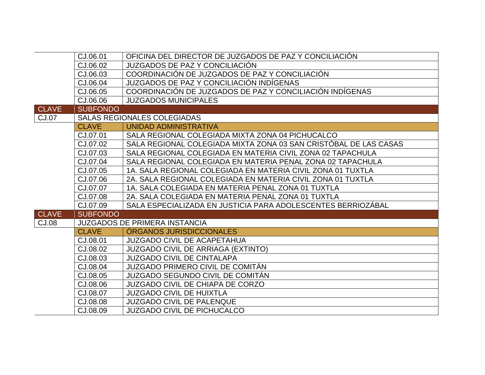|              | CJ.06.01                           | OFICINA DEL DIRECTOR DE JUZGADOS DE PAZ Y CONCILIACIÓN           |
|--------------|------------------------------------|------------------------------------------------------------------|
|              | CJ.06.02                           | JUZGADOS DE PAZ Y CONCILIACIÓN                                   |
|              | CJ.06.03                           | COORDINACIÓN DE JUZGADOS DE PAZ Y CONCILIACIÓN                   |
|              | CJ.06.04                           | JUZGADOS DE PAZ Y CONCILIACIÓN INDÍGENAS                         |
|              | CJ.06.05                           | COORDINACIÓN DE JUZGADOS DE PAZ Y CONCILIACIÓN INDÍGENAS         |
|              | CJ.06.06                           | <b>JUZGADOS MUNICIPALES</b>                                      |
| <b>CLAVE</b> | <b>SUBFONDO</b>                    |                                                                  |
| <b>CJ.07</b> | <b>SALAS REGIONALES COLEGIADAS</b> |                                                                  |
|              | <b>CLAVE</b>                       | UNIDAD ADMINISTRATIVA                                            |
|              | CJ.07.01                           | SALA REGIONAL COLEGIADA MIXTA ZONA 04 PICHUCALCO                 |
|              | CJ.07.02                           | SALA REGIONAL COLEGIADA MIXTA ZONA 03 SAN CRISTÓBAL DE LAS CASAS |
|              | CJ.07.03                           | SALA REGIONAL COLEGIADA EN MATERIA CIVIL ZONA 02 TAPACHULA       |
|              | CJ.07.04                           | SALA REGIONAL COLEGIADA EN MATERIA PENAL ZONA 02 TAPACHULA       |
|              | CJ.07.05                           | 1A. SALA REGIONAL COLEGIADA EN MATERIA CIVIL ZONA 01 TUXTLA      |
|              | CJ.07.06                           | 2A. SALA REGIONAL COLEGIADA EN MATERIA CIVIL ZONA 01 TUXTLA      |
|              | CJ.07.07                           | 1A. SALA COLEGIADA EN MATERIA PENAL ZONA 01 TUXTLA               |
|              | CJ.07.08                           | 2A. SALA COLEGIADA EN MATERIA PENAL ZONA 01 TUXTLA               |
|              | CJ.07.09                           | SALA ESPECIALIZADA EN JUSTICIA PARA ADOLESCENTES BERRIOZÁBAL     |
| <b>CLAVE</b> | <b>SUBFONDO</b>                    |                                                                  |
| <b>CJ.08</b> |                                    | <b>JUZGADOS DE PRIMERA INSTANCIA</b>                             |
|              | <b>CLAVE</b>                       | <b>ÓRGANOS JURISDICCIONALES</b>                                  |
|              | CJ.08.01                           | <b>JUZGADO CIVIL DE ACAPETAHUA</b>                               |
|              | CJ.08.02                           | <b>JUZGADO CIVIL DE ARRIAGA (EXTINTO)</b>                        |
|              | CJ.08.03                           | <b>JUZGADO CIVIL DE CINTALAPA</b>                                |
|              | CJ.08.04                           | JUZGADO PRIMERO CIVIL DE COMITÁN                                 |
|              | CJ.08.05                           | JUZGADO SEGUNDO CIVIL DE COMITÁN                                 |
|              | CJ.08.06                           | <b>JUZGADO CIVIL DE CHIAPA DE CORZO</b>                          |
|              | CJ.08.07                           | <b>JUZGADO CIVIL DE HUIXTLA</b>                                  |
|              | CJ.08.08                           | <b>JUZGADO CIVIL DE PALENQUE</b>                                 |
|              | CJ.08.09                           | <b>JUZGADO CIVIL DE PICHUCALCO</b>                               |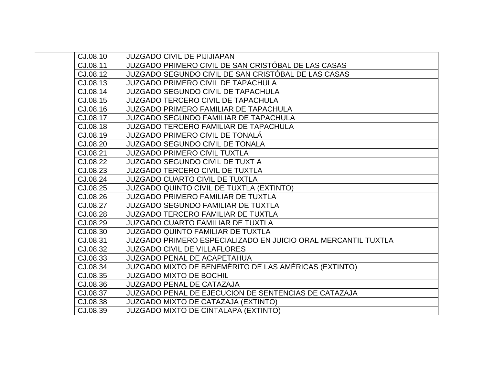| CJ.08.10 | <b>JUZGADO CIVIL DE PIJIJIAPAN</b>                            |
|----------|---------------------------------------------------------------|
| CJ.08.11 | JUZGADO PRIMERO CIVIL DE SAN CRISTÓBAL DE LAS CASAS           |
| CJ.08.12 | JUZGADO SEGUNDO CIVIL DE SAN CRISTÓBAL DE LAS CASAS           |
| CJ.08.13 | <b>JUZGADO PRIMERO CIVIL DE TAPACHULA</b>                     |
| CJ.08.14 | <b>JUZGADO SEGUNDO CIVIL DE TAPACHULA</b>                     |
| CJ.08.15 | <b>JUZGADO TERCERO CIVIL DE TAPACHULA</b>                     |
| CJ.08.16 | <b>JUZGADO PRIMERO FAMILIAR DE TAPACHULA</b>                  |
| CJ.08.17 | <b>JUZGADO SEGUNDO FAMILIAR DE TAPACHULA</b>                  |
| CJ.08.18 | <b>JUZGADO TERCERO FAMILIAR DE TAPACHULA</b>                  |
| CJ.08.19 | <b>JUZGADO PRIMERO CIVIL DE TONALÁ</b>                        |
| CJ.08.20 | <b>JUZGADO SEGUNDO CIVIL DE TONALA</b>                        |
| CJ.08.21 | <b>JUZGADO PRIMERO CIVIL TUXTLA</b>                           |
| CJ.08.22 | <b>JUZGADO SEGUNDO CIVIL DE TUXT A</b>                        |
| CJ.08.23 | <b>JUZGADO TERCERO CIVIL DE TUXTLA</b>                        |
| CJ.08.24 | <b>JUZGADO CUARTO CIVIL DE TUXTLA</b>                         |
| CJ.08.25 | <b>JUZGADO QUINTO CIVIL DE TUXTLA (EXTINTO)</b>               |
| CJ.08.26 | <b>JUZGADO PRIMERO FAMILIAR DE TUXTLA</b>                     |
| CJ.08.27 | <b>JUZGADO SEGUNDO FAMILIAR DE TUXTLA</b>                     |
| CJ.08.28 | <b>JUZGADO TERCERO FAMILIAR DE TUXTLA</b>                     |
| CJ.08.29 | <b>JUZGADO CUARTO FAMILIAR DE TUXTLA</b>                      |
| CJ.08.30 | JUZGADO QUINTO FAMILIAR DE TUXTLA                             |
| CJ.08.31 | JUZGADO PRIMERO ESPECIALIZADO EN JUICIO ORAL MERCANTIL TUXTLA |
| CJ.08.32 | <b>JUZGADO CIVIL DE VILLAFLORES</b>                           |
| CJ.08.33 | <b>JUZGADO PENAL DE ACAPETAHUA</b>                            |
| CJ.08.34 | JUZGADO MIXTO DE BENEMÉRITO DE LAS AMÉRICAS (EXTINTO)         |
| CJ.08.35 | <b>JUZGADO MIXTO DE BOCHIL</b>                                |
| CJ.08.36 | <b>JUZGADO PENAL DE CATAZAJA</b>                              |
| CJ.08.37 | JUZGADO PENAL DE EJECUCION DE SENTENCIAS DE CATAZAJA          |
| CJ.08.38 | <b>JUZGADO MIXTO DE CATAZAJA (EXTINTO)</b>                    |
| CJ.08.39 | <b>JUZGADO MIXTO DE CINTALAPA (EXTINTO)</b>                   |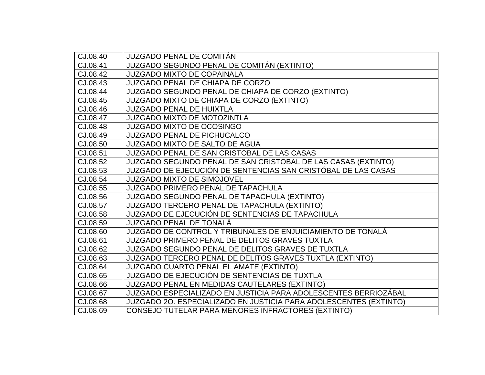| CJ.08.40 | <b>JUZGADO PENAL DE COMITÁN</b>                                   |
|----------|-------------------------------------------------------------------|
| CJ.08.41 | JUZGADO SEGUNDO PENAL DE COMITÁN (EXTINTO)                        |
| CJ.08.42 | <b>JUZGADO MIXTO DE COPAINALA</b>                                 |
| CJ.08.43 | <b>JUZGADO PENAL DE CHIAPA DE CORZO</b>                           |
| CJ.08.44 | JUZGADO SEGUNDO PENAL DE CHIAPA DE CORZO (EXTINTO)                |
| CJ.08.45 | JUZGADO MIXTO DE CHIAPA DE CORZO (EXTINTO)                        |
| CJ.08.46 | <b>JUZGADO PENAL DE HUIXTLA</b>                                   |
| CJ.08.47 | <b>JUZGADO MIXTO DE MOTOZINTLA</b>                                |
| CJ.08.48 | <b>JUZGADO MIXTO DE OCOSINGO</b>                                  |
| CJ.08.49 | <b>JUZGADO PENAL DE PICHUCALCO</b>                                |
| CJ.08.50 | <b>JUZGADO MIXTO DE SALTO DE AGUA</b>                             |
| CJ.08.51 | JUZGADO PENAL DE SAN CRISTOBAL DE LAS CASAS                       |
| CJ.08.52 | JUZGADO SEGUNDO PENAL DE SAN CRISTOBAL DE LAS CASAS (EXTINTO)     |
| CJ.08.53 | JUZGADO DE EJECUCIÓN DE SENTENCIAS SAN CRISTÓBAL DE LAS CASAS     |
| CJ.08.54 | <b>JUZGADO MIXTO DE SIMOJOVEL</b>                                 |
| CJ.08.55 | <b>JUZGADO PRIMERO PENAL DE TAPACHULA</b>                         |
| CJ.08.56 | JUZGADO SEGUNDO PENAL DE TAPACHULA (EXTINTO)                      |
| CJ.08.57 | <b>JUZGADO TERCERO PENAL DE TAPACHULA (EXTINTO)</b>               |
| CJ.08.58 | JUZGADO DE EJECUCIÓN DE SENTENCIAS DE TAPACHULA                   |
| CJ.08.59 | <b>JUZGADO PENAL DE TONALÁ</b>                                    |
| CJ.08.60 | JUZGADO DE CONTROL Y TRIBUNALES DE ENJUICIAMIENTO DE TONALA       |
| CJ.08.61 | JUZGADO PRIMERO PENAL DE DELITOS GRAVES TUXTLA                    |
| CJ.08.62 | <b>JUZGADO SEGUNDO PENAL DE DELITOS GRAVES DE TUXTLA</b>          |
| CJ.08.63 | JUZGADO TERCERO PENAL DE DELITOS GRAVES TUXTLA (EXTINTO)          |
| CJ.08.64 | JUZGADO CUARTO PENAL EL AMATE (EXTINTO)                           |
| CJ.08.65 | JUZGADO DE EJECUCIÓN DE SENTENCIAS DE TUXTLA                      |
| CJ.08.66 | JUZGADO PENAL EN MEDIDAS CAUTELARES (EXTINTO)                     |
| CJ.08.67 | JUZGADO ESPECIALIZADO EN JUSTICIA PARA ADOLESCENTES BERRIOZÁBAL   |
| CJ.08.68 | JUZGADO 20. ESPECIALIZADO EN JUSTICIA PARA ADOLESCENTES (EXTINTO) |
| CJ.08.69 | CONSEJO TUTELAR PARA MENORES INFRACTORES (EXTINTO)                |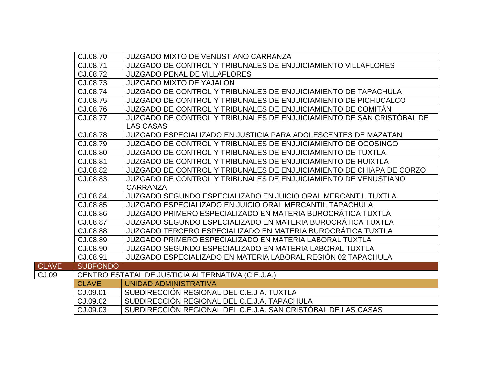|              | CJ.08.70        | <b>JUZGADO MIXTO DE VENUSTIANO CARRANZA</b>                                               |
|--------------|-----------------|-------------------------------------------------------------------------------------------|
|              | CJ.08.71        | JUZGADO DE CONTROL Y TRIBUNALES DE ENJUICIAMIENTO VILLAFLORES                             |
|              | CJ.08.72        | <b>JUZGADO PENAL DE VILLAFLORES</b>                                                       |
|              | CJ.08.73        | <b>JUZGADO MIXTO DE YAJALON</b>                                                           |
|              | CJ.08.74        | JUZGADO DE CONTROL Y TRIBUNALES DE ENJUICIAMIENTO DE TAPACHULA                            |
|              | CJ.08.75        | JUZGADO DE CONTROL Y TRIBUNALES DE ENJUICIAMIENTO DE PICHUCALCO                           |
|              | CJ.08.76        | JUZGADO DE CONTROL Y TRIBUNALES DE ENJUICIAMIENTO DE COMITÁN                              |
|              | CJ.08.77        | JUZGADO DE CONTROL Y TRIBUNALES DE ENJUICIAMIENTO DE SAN CRISTÓBAL DE<br><b>LAS CASAS</b> |
|              | CJ.08.78        | <b>JUZGADO ESPECIALIZADO EN JUSTICIA PARA ADOLESCENTES DE MAZATAN</b>                     |
|              | CJ.08.79        | JUZGADO DE CONTROL Y TRIBUNALES DE ENJUICIAMIENTO DE OCOSINGO                             |
|              | CJ.08.80        | JUZGADO DE CONTROL Y TRIBUNALES DE ENJUICIAMIENTO DE TUXTLA                               |
|              | CJ.08.81        | <b>JUZGADO DE CONTROL Y TRIBUNALES DE ENJUICIAMIENTO DE HUIXTLA</b>                       |
|              | CJ.08.82        | JUZGADO DE CONTROL Y TRIBUNALES DE ENJUICIAMIENTO DE CHIAPA DE CORZO                      |
|              | CJ.08.83        | JUZGADO DE CONTROL Y TRIBUNALES DE ENJUICIAMIENTO DE VENUSTIANO                           |
|              |                 | <b>CARRANZA</b>                                                                           |
|              | CJ.08.84        | JUZGADO SEGUNDO ESPECIALIZADO EN JUICIO ORAL MERCANTIL TUXTLA                             |
|              | CJ.08.85        | JUZGADO ESPECIALIZADO EN JUICIO ORAL MERCANTIL TAPACHULA                                  |
|              | CJ.08.86        | JUZGADO PRIMERO ESPECIALIZADO EN MATERIA BUROCRÁTICA TUXTLA                               |
|              | CJ.08.87        | JUZGADO SEGUNDO ESPECIALIZADO EN MATERIA BUROCRÁTICA TUXTLA                               |
|              | CJ.08.88        | JUZGADO TERCERO ESPECIALIZADO EN MATERIA BUROCRÁTICA TUXTLA                               |
|              | CJ.08.89        | JUZGADO PRIMERO ESPECIALIZADO EN MATERIA LABORAL TUXTLA                                   |
|              | CJ.08.90        | JUZGADO SEGUNDO ESPECIALIZADO EN MATERIA LABORAL TUXTLA                                   |
|              | CJ.08.91        | JUZGADO ESPECIALIZADO EN MATERIA LABORAL REGIÓN 02 TAPACHULA                              |
| <b>CLAVE</b> | <b>SUBFONDO</b> |                                                                                           |
| CJ.09        |                 | CENTRO ESTATAL DE JUSTICIA ALTERNATIVA (C.E.J.A.)                                         |
|              | <b>CLAVE</b>    | UNIDAD ADMINISTRATIVA                                                                     |
|              | CJ.09.01        | SUBDIRECCIÓN REGIONAL DEL C.E.J A. TUXTLA                                                 |
|              | CJ.09.02        | SUBDIRECCIÓN REGIONAL DEL C.E.J.A. TAPACHULA                                              |
|              | CJ.09.03        | SUBDIRECCIÓN REGIONAL DEL C.E.J.A. SAN CRISTÓBAL DE LAS CASAS                             |